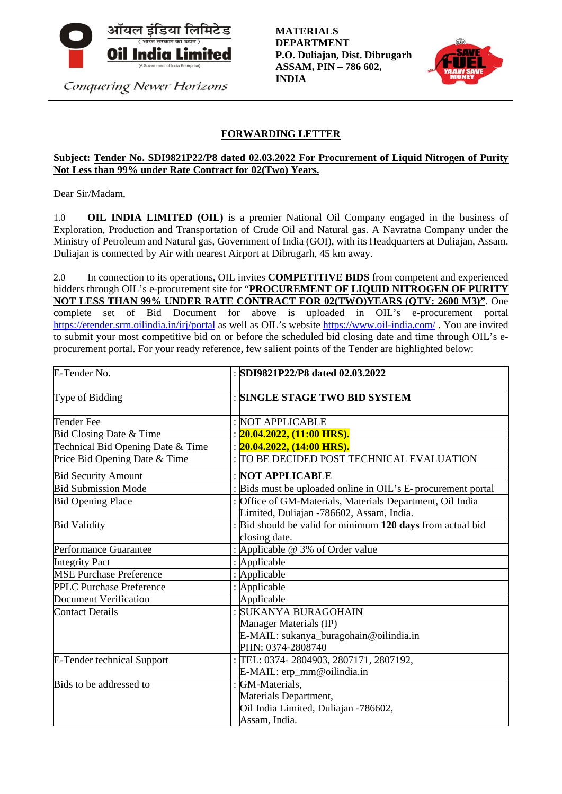

Conquering Newer Horizons

**MATERIALS DEPARTMENT P.O. Duliajan, Dist. Dibrugarh ASSAM, PIN – 786 602, INDIA**



# **FORWARDING LETTER**

### **Subject: Tender No. SDI9821P22/P8 dated 02.03.2022 For Procurement of Liquid Nitrogen of Purity Not Less than 99% under Rate Contract for 02(Two) Years.**

Dear Sir/Madam,

1.0 **OIL INDIA LIMITED (OIL)** is a premier National Oil Company engaged in the business of Exploration, Production and Transportation of Crude Oil and Natural gas. A Navratna Company under the Ministry of Petroleum and Natural gas, Government of India (GOI), with its Headquarters at Duliajan, Assam. Duliajan is connected by Air with nearest Airport at Dibrugarh, 45 km away.

2.0 In connection to its operations, OIL invites **COMPETITIVE BIDS** from competent and experienced bidders through OIL's e-procurement site for "**PROCUREMENT OF LIQUID NITROGEN OF PURITY NOT LESS THAN 99% UNDER RATE CONTRACT FOR 02(TWO)YEARS (QTY: 2600 M3)"**. One complete set of Bid Document for above is uploaded in OIL's e-procurement portal <https://etender.srm.oilindia.in/irj/portal> as well as OIL's website<https://www.oil-india.com/> . You are invited to submit your most competitive bid on or before the scheduled bid closing date and time through OIL's eprocurement portal. For your ready reference, few salient points of the Tender are highlighted below:

| E-Tender No.                      | : SDI9821P22/P8 dated 02.03.2022                                                                      |
|-----------------------------------|-------------------------------------------------------------------------------------------------------|
| Type of Bidding                   | : SINGLE STAGE TWO BID SYSTEM                                                                         |
| <b>Tender Fee</b>                 | : NOT APPLICABLE                                                                                      |
| Bid Closing Date & Time           | : $20.04.2022$ , $(11:00$ HRS).                                                                       |
| Technical Bid Opening Date & Time | : $20.04.2022, (14:00$ HRS).                                                                          |
| Price Bid Opening Date & Time     | : TO BE DECIDED POST TECHNICAL EVALUATION                                                             |
| <b>Bid Security Amount</b>        | : NOT APPLICABLE                                                                                      |
| <b>Bid Submission Mode</b>        | : Bids must be uploaded online in OIL's E-procurement portal                                          |
| <b>Bid Opening Place</b>          | : Office of GM-Materials, Materials Department, Oil India<br>Limited, Duliajan -786602, Assam, India. |
| <b>Bid Validity</b>               | : Bid should be valid for minimum 120 days from actual bid<br>closing date.                           |
| Performance Guarantee             | : Applicable @ 3% of Order value                                                                      |
| <b>Integrity Pact</b>             | : Applicable                                                                                          |
| <b>MSE Purchase Preference</b>    | : Applicable                                                                                          |
| <b>PPLC Purchase Preference</b>   | : Applicable                                                                                          |
| <b>Document Verification</b>      | Applicable                                                                                            |
| <b>Contact Details</b>            | : SUKANYA BURAGOHAIN                                                                                  |
|                                   | Manager Materials (IP)                                                                                |
|                                   | E-MAIL: sukanya_buragohain@oilindia.in                                                                |
|                                   | PHN: 0374-2808740                                                                                     |
| <b>E-Tender technical Support</b> | : TEL: 0374-2804903, 2807171, 2807192,                                                                |
|                                   | E-MAIL: erp_mm@oilindia.in                                                                            |
| Bids to be addressed to           | : GM-Materials,                                                                                       |
|                                   | Materials Department,                                                                                 |
|                                   | Oil India Limited, Duliajan -786602,                                                                  |
|                                   | Assam, India.                                                                                         |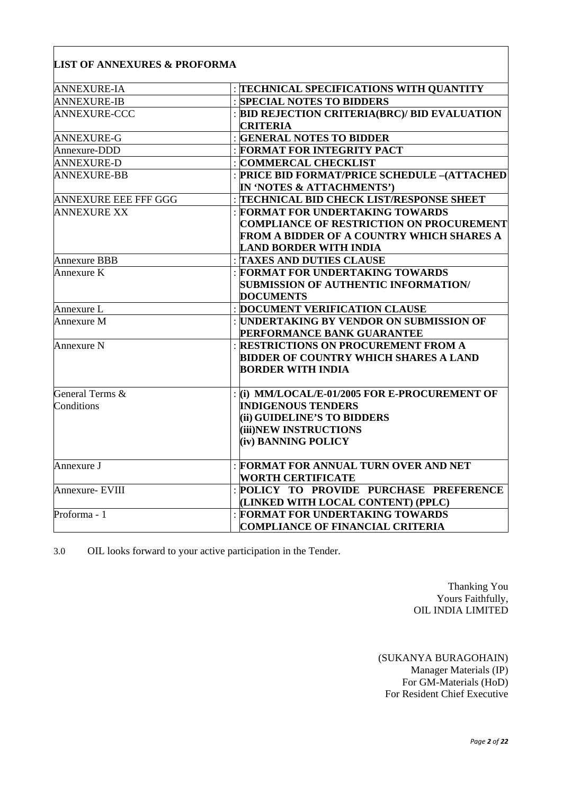| <b>ANNEXURE-IA</b>          | : TECHNICAL SPECIFICATIONS WITH QUANTITY         |
|-----------------------------|--------------------------------------------------|
| <b>ANNEXURE-IB</b>          | : SPECIAL NOTES TO BIDDERS                       |
| <b>ANNEXURE-CCC</b>         | : BID REJECTION CRITERIA(BRC)/ BID EVALUATION    |
|                             | <b>CRITERIA</b>                                  |
| <b>ANNEXURE-G</b>           | : GENERAL NOTES TO BIDDER                        |
| Annexure-DDD                | : FORMAT FOR INTEGRITY PACT                      |
| <b>ANNEXURE-D</b>           | : COMMERCAL CHECKLIST                            |
| <b>ANNEXURE-BB</b>          | : PRICE BID FORMAT/PRICE SCHEDULE -(ATTACHED     |
|                             | IN 'NOTES & ATTACHMENTS')                        |
| <b>ANNEXURE EEE FFF GGG</b> | <b>TECHNICAL BID CHECK LIST/RESPONSE SHEET</b>   |
| <b>ANNEXURE XX</b>          | : FORMAT FOR UNDERTAKING TOWARDS                 |
|                             | <b>COMPLIANCE OF RESTRICTION ON PROCUREMENT</b>  |
|                             | <b>FROM A BIDDER OF A COUNTRY WHICH SHARES A</b> |
|                             | <b>LAND BORDER WITH INDIA</b>                    |
| <b>Annexure BBB</b>         | <b>TAXES AND DUTIES CLAUSE</b>                   |
| Annexure K                  | : FORMAT FOR UNDERTAKING TOWARDS                 |
|                             | <b>SUBMISSION OF AUTHENTIC INFORMATION/</b>      |
|                             | <b>DOCUMENTS</b>                                 |
| Annexure L                  | : DOCUMENT VERIFICATION CLAUSE                   |
| Annexure M                  | : UNDERTAKING BY VENDOR ON SUBMISSION OF         |
|                             | PERFORMANCE BANK GUARANTEE                       |
| Annexure N                  | <b>RESTRICTIONS ON PROCUREMENT FROM A</b>        |
|                             | <b>BIDDER OF COUNTRY WHICH SHARES A LAND</b>     |
|                             | <b>BORDER WITH INDIA</b>                         |
|                             |                                                  |
| General Terms &             | : (i) MM/LOCAL/E-01/2005 FOR E-PROCUREMENT OF    |
| Conditions                  | <b>INDIGENOUS TENDERS</b>                        |
|                             | (ii) GUIDELINE'S TO BIDDERS                      |
|                             | (iii)NEW INSTRUCTIONS                            |
|                             | (iv) BANNING POLICY                              |
|                             |                                                  |
| Annexure J                  | : FORMAT FOR ANNUAL TURN OVER AND NET            |
|                             | <b>WORTH CERTIFICATE</b>                         |
| Annexure- EVIII             | : POLICY TO PROVIDE PURCHASE PREFERENCE          |
|                             | (LINKED WITH LOCAL CONTENT) (PPLC)               |
| Proforma - 1                | : FORMAT FOR UNDERTAKING TOWARDS                 |
|                             | <b>COMPLIANCE OF FINANCIAL CRITERIA</b>          |
|                             |                                                  |

3.0 OIL looks forward to your active participation in the Tender.

Thanking You Yours Faithfully, OIL INDIA LIMITED

(SUKANYA BURAGOHAIN) Manager Materials (IP) For GM-Materials (HoD) For Resident Chief Executive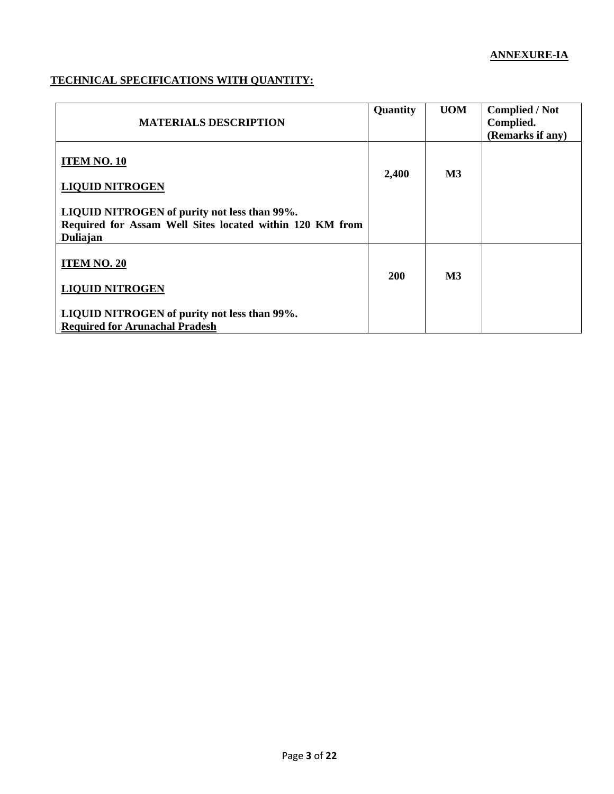# **TECHNICAL SPECIFICATIONS WITH QUANTITY:**

| <b>MATERIALS DESCRIPTION</b>                                                                                         | Quantity   | <b>UOM</b>    | <b>Complied / Not</b><br>Complied.<br>(Remarks if any) |
|----------------------------------------------------------------------------------------------------------------------|------------|---------------|--------------------------------------------------------|
| <b>ITEM NO. 10</b><br><b>LIQUID NITROGEN</b>                                                                         | 2,400      | $\mathbf{M}3$ |                                                        |
| LIQUID NITROGEN of purity not less than 99%.<br>Required for Assam Well Sites located within 120 KM from<br>Duliajan |            |               |                                                        |
| <b>ITEM NO. 20</b><br><b>LIQUID NITROGEN</b>                                                                         | <b>200</b> | <b>M3</b>     |                                                        |
| LIQUID NITROGEN of purity not less than 99%.<br><b>Required for Arunachal Pradesh</b>                                |            |               |                                                        |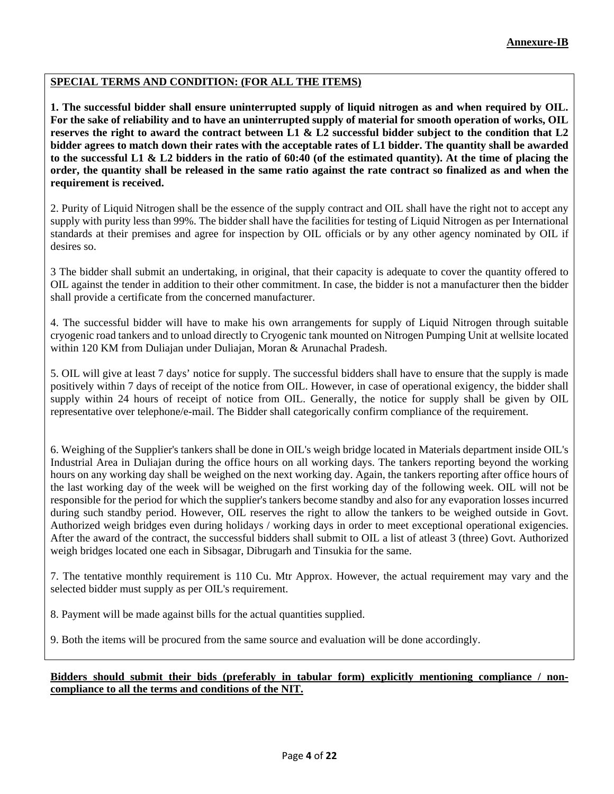## **SPECIAL TERMS AND CONDITION: (FOR ALL THE ITEMS)**

**1. The successful bidder shall ensure uninterrupted supply of liquid nitrogen as and when required by OIL. For the sake of reliability and to have an uninterrupted supply of material for smooth operation of works, OIL reserves the right to award the contract between L1 & L2 successful bidder subject to the condition that L2 bidder agrees to match down their rates with the acceptable rates of L1 bidder. The quantity shall be awarded to the successful L1 & L2 bidders in the ratio of 60:40 (of the estimated quantity). At the time of placing the order, the quantity shall be released in the same ratio against the rate contract so finalized as and when the requirement is received.**

2. Purity of Liquid Nitrogen shall be the essence of the supply contract and OIL shall have the right not to accept any supply with purity less than 99%. The bidder shall have the facilities for testing of Liquid Nitrogen as per International standards at their premises and agree for inspection by OIL officials or by any other agency nominated by OIL if desires so.

3 The bidder shall submit an undertaking, in original, that their capacity is adequate to cover the quantity offered to OIL against the tender in addition to their other commitment. In case, the bidder is not a manufacturer then the bidder shall provide a certificate from the concerned manufacturer.

4. The successful bidder will have to make his own arrangements for supply of Liquid Nitrogen through suitable cryogenic road tankers and to unload directly to Cryogenic tank mounted on Nitrogen Pumping Unit at wellsite located within 120 KM from Duliajan under Duliajan, Moran & Arunachal Pradesh.

5. OIL will give at least 7 days' notice for supply. The successful bidders shall have to ensure that the supply is made positively within 7 days of receipt of the notice from OIL. However, in case of operational exigency, the bidder shall supply within 24 hours of receipt of notice from OIL. Generally, the notice for supply shall be given by OIL representative over telephone/e-mail. The Bidder shall categorically confirm compliance of the requirement.

6. Weighing of the Supplier's tankers shall be done in OIL's weigh bridge located in Materials department inside OIL's Industrial Area in Duliajan during the office hours on all working days. The tankers reporting beyond the working hours on any working day shall be weighed on the next working day. Again, the tankers reporting after office hours of the last working day of the week will be weighed on the first working day of the following week. OIL will not be responsible for the period for which the supplier's tankers become standby and also for any evaporation losses incurred during such standby period. However, OIL reserves the right to allow the tankers to be weighed outside in Govt. Authorized weigh bridges even during holidays / working days in order to meet exceptional operational exigencies. After the award of the contract, the successful bidders shall submit to OIL a list of atleast 3 (three) Govt. Authorized weigh bridges located one each in Sibsagar, Dibrugarh and Tinsukia for the same.

7. The tentative monthly requirement is 110 Cu. Mtr Approx. However, the actual requirement may vary and the selected bidder must supply as per OIL's requirement.

8. Payment will be made against bills for the actual quantities supplied.

9. Both the items will be procured from the same source and evaluation will be done accordingly.

#### **Bidders should submit their bids (preferably in tabular form) explicitly mentioning compliance / noncompliance to all the terms and conditions of the NIT.**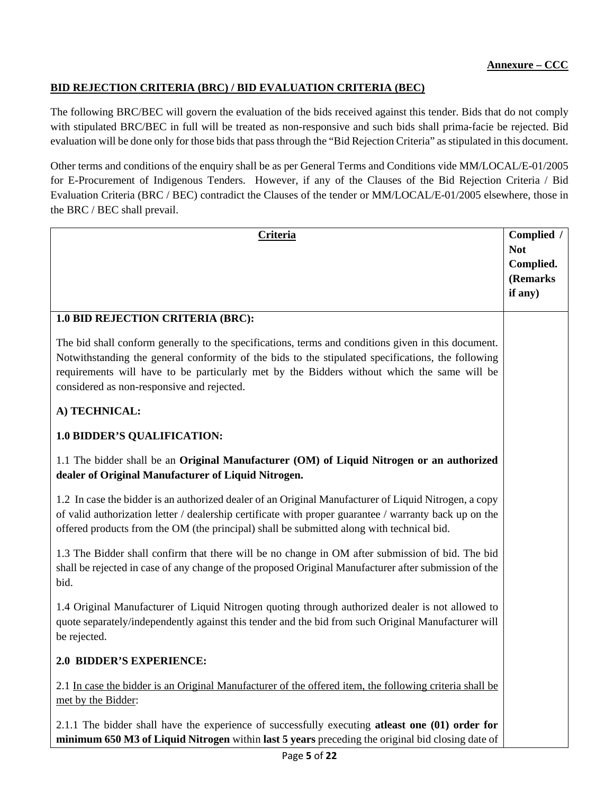# **BID REJECTION CRITERIA (BRC) / BID EVALUATION CRITERIA (BEC)**

The following BRC/BEC will govern the evaluation of the bids received against this tender. Bids that do not comply with stipulated BRC/BEC in full will be treated as non-responsive and such bids shall prima-facie be rejected. Bid evaluation will be done only for those bids that pass through the "Bid Rejection Criteria" as stipulated in this document.

Other terms and conditions of the enquiry shall be as per General Terms and Conditions vide MM/LOCAL/E-01/2005 for E-Procurement of Indigenous Tenders. However, if any of the Clauses of the Bid Rejection Criteria / Bid Evaluation Criteria (BRC / BEC) contradict the Clauses of the tender or MM/LOCAL/E-01/2005 elsewhere, those in the BRC / BEC shall prevail.

| Criteria                                                                                                                                                                                                                                                                                                                                               |                       |  |  |  |  |
|--------------------------------------------------------------------------------------------------------------------------------------------------------------------------------------------------------------------------------------------------------------------------------------------------------------------------------------------------------|-----------------------|--|--|--|--|
|                                                                                                                                                                                                                                                                                                                                                        | <b>Not</b>            |  |  |  |  |
|                                                                                                                                                                                                                                                                                                                                                        | Complied.<br>(Remarks |  |  |  |  |
|                                                                                                                                                                                                                                                                                                                                                        | if any)               |  |  |  |  |
|                                                                                                                                                                                                                                                                                                                                                        |                       |  |  |  |  |
| 1.0 BID REJECTION CRITERIA (BRC):                                                                                                                                                                                                                                                                                                                      |                       |  |  |  |  |
| The bid shall conform generally to the specifications, terms and conditions given in this document.<br>Notwithstanding the general conformity of the bids to the stipulated specifications, the following<br>requirements will have to be particularly met by the Bidders without which the same will be<br>considered as non-responsive and rejected. |                       |  |  |  |  |
| A) TECHNICAL:                                                                                                                                                                                                                                                                                                                                          |                       |  |  |  |  |
| <b>1.0 BIDDER'S QUALIFICATION:</b>                                                                                                                                                                                                                                                                                                                     |                       |  |  |  |  |
| 1.1 The bidder shall be an Original Manufacturer (OM) of Liquid Nitrogen or an authorized<br>dealer of Original Manufacturer of Liquid Nitrogen.                                                                                                                                                                                                       |                       |  |  |  |  |
| 1.2 In case the bidder is an authorized dealer of an Original Manufacturer of Liquid Nitrogen, a copy<br>of valid authorization letter / dealership certificate with proper guarantee / warranty back up on the<br>offered products from the OM (the principal) shall be submitted along with technical bid.                                           |                       |  |  |  |  |
| 1.3 The Bidder shall confirm that there will be no change in OM after submission of bid. The bid<br>shall be rejected in case of any change of the proposed Original Manufacturer after submission of the<br>bid.                                                                                                                                      |                       |  |  |  |  |
| 1.4 Original Manufacturer of Liquid Nitrogen quoting through authorized dealer is not allowed to<br>quote separately/independently against this tender and the bid from such Original Manufacturer will<br>be rejected.                                                                                                                                |                       |  |  |  |  |
| 2.0 BIDDER'S EXPERIENCE:                                                                                                                                                                                                                                                                                                                               |                       |  |  |  |  |
| 2.1 In case the bidder is an Original Manufacturer of the offered item, the following criteria shall be<br>met by the Bidder:                                                                                                                                                                                                                          |                       |  |  |  |  |
| 2.1.1 The bidder shall have the experience of successfully executing atleast one (01) order for<br>minimum 650 M3 of Liquid Nitrogen within last 5 years preceding the original bid closing date of                                                                                                                                                    |                       |  |  |  |  |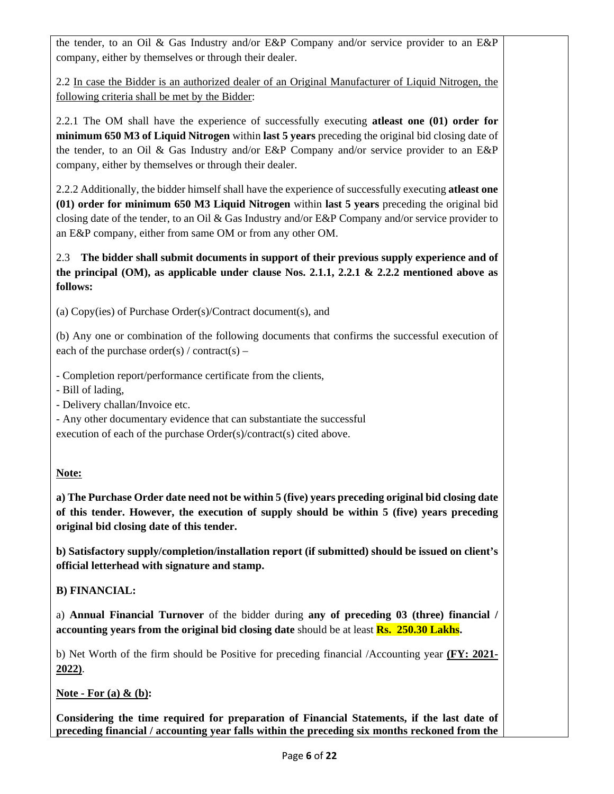the tender, to an Oil & Gas Industry and/or E&P Company and/or service provider to an E&P company, either by themselves or through their dealer.

2.2 In case the Bidder is an authorized dealer of an Original Manufacturer of Liquid Nitrogen, the following criteria shall be met by the Bidder:

2.2.1 The OM shall have the experience of successfully executing **atleast one (01) order for minimum 650 M3 of Liquid Nitrogen** within **last 5 years** preceding the original bid closing date of the tender, to an Oil & Gas Industry and/or E&P Company and/or service provider to an E&P company, either by themselves or through their dealer.

2.2.2 Additionally, the bidder himself shall have the experience of successfully executing **atleast one (01) order for minimum 650 M3 Liquid Nitrogen** within **last 5 years** preceding the original bid closing date of the tender, to an Oil & Gas Industry and/or E&P Company and/or service provider to an E&P company, either from same OM or from any other OM.

# 2.3 **The bidder shall submit documents in support of their previous supply experience and of the principal (OM), as applicable under clause Nos. 2.1.1, 2.2.1 & 2.2.2 mentioned above as follows:**

(a) Copy(ies) of Purchase Order(s)/Contract document(s), and

(b) Any one or combination of the following documents that confirms the successful execution of each of the purchase order(s) / contract(s) –

- Completion report/performance certificate from the clients,

- Bill of lading,
- Delivery challan/Invoice etc.
- Any other documentary evidence that can substantiate the successful

execution of each of the purchase Order(s)/contract(s) cited above.

## **Note:**

**a) The Purchase Order date need not be within 5 (five) years preceding original bid closing date of this tender. However, the execution of supply should be within 5 (five) years preceding original bid closing date of this tender.**

**b) Satisfactory supply/completion/installation report (if submitted) should be issued on client's official letterhead with signature and stamp.**

**B) FINANCIAL:**

a) **Annual Financial Turnover** of the bidder during **any of preceding 03 (three) financial / accounting years from the original bid closing date** should be at least **Rs. 250.30 Lakhs.**

b) Net Worth of the firm should be Positive for preceding financial /Accounting year **(FY: 2021- 2022)**.

**Note - For (a) & (b):**

**Considering the time required for preparation of Financial Statements, if the last date of preceding financial / accounting year falls within the preceding six months reckoned from the**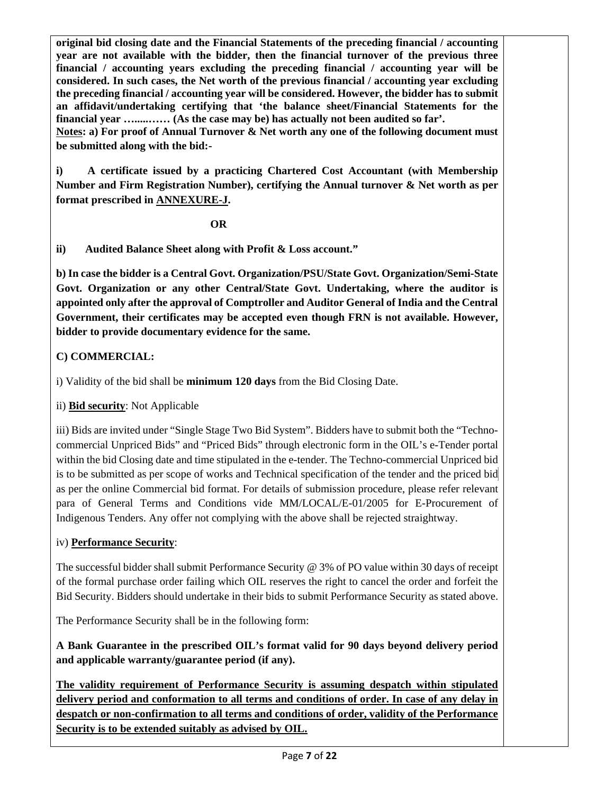**original bid closing date and the Financial Statements of the preceding financial / accounting year are not available with the bidder, then the financial turnover of the previous three financial / accounting years excluding the preceding financial / accounting year will be considered. In such cases, the Net worth of the previous financial / accounting year excluding the preceding financial / accounting year will be considered. However, the bidder has to submit an affidavit/undertaking certifying that 'the balance sheet/Financial Statements for the financial year ….....…… (As the case may be) has actually not been audited so far'.**

**Notes: a) For proof of Annual Turnover & Net worth any one of the following document must be submitted along with the bid:-**

**i) A certificate issued by a practicing Chartered Cost Accountant (with Membership Number and Firm Registration Number), certifying the Annual turnover & Net worth as per format prescribed in ANNEXURE-J.**

*OR* 

**ii) Audited Balance Sheet along with Profit & Loss account."**

**b) In case the bidder is a Central Govt. Organization/PSU/State Govt. Organization/Semi-State Govt. Organization or any other Central/State Govt. Undertaking, where the auditor is appointed only after the approval of Comptroller and Auditor General of India and the Central Government, their certificates may be accepted even though FRN is not available. However, bidder to provide documentary evidence for the same.**

# **C) COMMERCIAL:**

i) Validity of the bid shall be **minimum 120 days** from the Bid Closing Date.

ii) **Bid security**: Not Applicable

iii) Bids are invited under "Single Stage Two Bid System". Bidders have to submit both the "Technocommercial Unpriced Bids" and "Priced Bids" through electronic form in the OIL's e-Tender portal within the bid Closing date and time stipulated in the e-tender. The Techno-commercial Unpriced bid is to be submitted as per scope of works and Technical specification of the tender and the priced bid as per the online Commercial bid format. For details of submission procedure, please refer relevant para of General Terms and Conditions vide MM/LOCAL/E-01/2005 for E-Procurement of Indigenous Tenders. Any offer not complying with the above shall be rejected straightway.

## iv) **Performance Security**:

The successful bidder shall submit Performance Security @ 3% of PO value within 30 days of receipt of the formal purchase order failing which OIL reserves the right to cancel the order and forfeit the Bid Security. Bidders should undertake in their bids to submit Performance Security as stated above.

The Performance Security shall be in the following form:

# **A Bank Guarantee in the prescribed OIL's format valid for 90 days beyond delivery period and applicable warranty/guarantee period (if any).**

**The validity requirement of Performance Security is assuming despatch within stipulated delivery period and conformation to all terms and conditions of order. In case of any delay in despatch or non-confirmation to all terms and conditions of order, validity of the Performance Security is to be extended suitably as advised by OIL.**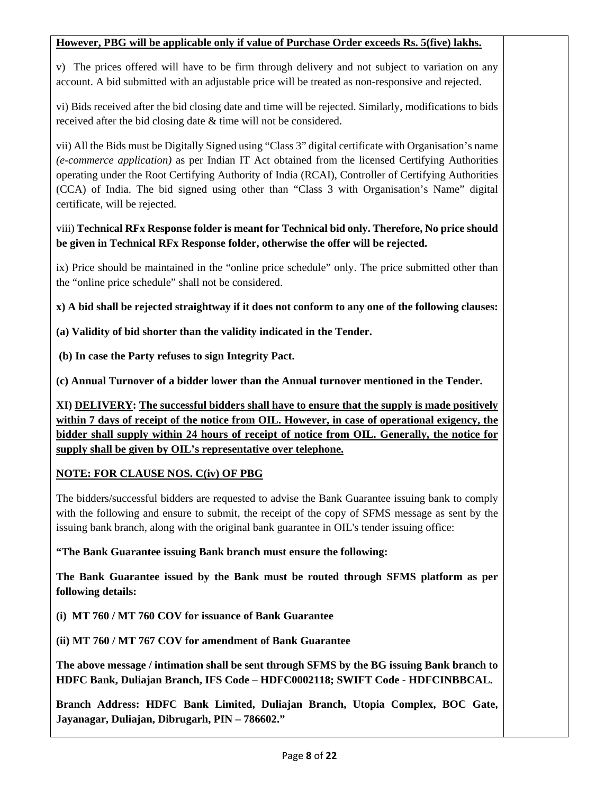### **However, PBG will be applicable only if value of Purchase Order exceeds Rs. 5(five) lakhs.**

v) The prices offered will have to be firm through delivery and not subject to variation on any account. A bid submitted with an adjustable price will be treated as non-responsive and rejected.

vi) Bids received after the bid closing date and time will be rejected. Similarly, modifications to bids received after the bid closing date & time will not be considered.

vii) All the Bids must be Digitally Signed using "Class 3" digital certificate with Organisation's name *(e-commerce application)* as per Indian IT Act obtained from the licensed Certifying Authorities operating under the Root Certifying Authority of India (RCAI), Controller of Certifying Authorities (CCA) of India. The bid signed using other than "Class 3 with Organisation's Name" digital certificate, will be rejected.

## viii) **Technical RFx Response folder is meant for Technical bid only. Therefore, No price should be given in Technical RFx Response folder, otherwise the offer will be rejected.**

ix) Price should be maintained in the "online price schedule" only. The price submitted other than the "online price schedule" shall not be considered.

**x) A bid shall be rejected straightway if it does not conform to any one of the following clauses:**

**(a) Validity of bid shorter than the validity indicated in the Tender.**

**(b) In case the Party refuses to sign Integrity Pact.**

**(c) Annual Turnover of a bidder lower than the Annual turnover mentioned in the Tender.** 

**XI) DELIVERY: The successful bidders shall have to ensure that the supply is made positively within 7 days of receipt of the notice from OIL. However, in case of operational exigency, the bidder shall supply within 24 hours of receipt of notice from OIL. Generally, the notice for supply shall be given by OIL's representative over telephone.**

## **NOTE: FOR CLAUSE NOS. C(iv) OF PBG**

The bidders/successful bidders are requested to advise the Bank Guarantee issuing bank to comply with the following and ensure to submit, the receipt of the copy of SFMS message as sent by the issuing bank branch, along with the original bank guarantee in OIL's tender issuing office:

**"The Bank Guarantee issuing Bank branch must ensure the following:**

**The Bank Guarantee issued by the Bank must be routed through SFMS platform as per following details:**

**(i) MT 760 / MT 760 COV for issuance of Bank Guarantee**

**(ii) MT 760 / MT 767 COV for amendment of Bank Guarantee**

**The above message / intimation shall be sent through SFMS by the BG issuing Bank branch to HDFC Bank, Duliajan Branch, IFS Code – HDFC0002118; SWIFT Code - HDFCINBBCAL.**

**Branch Address: HDFC Bank Limited, Duliajan Branch, Utopia Complex, BOC Gate, Jayanagar, Duliajan, Dibrugarh, PIN – 786602."**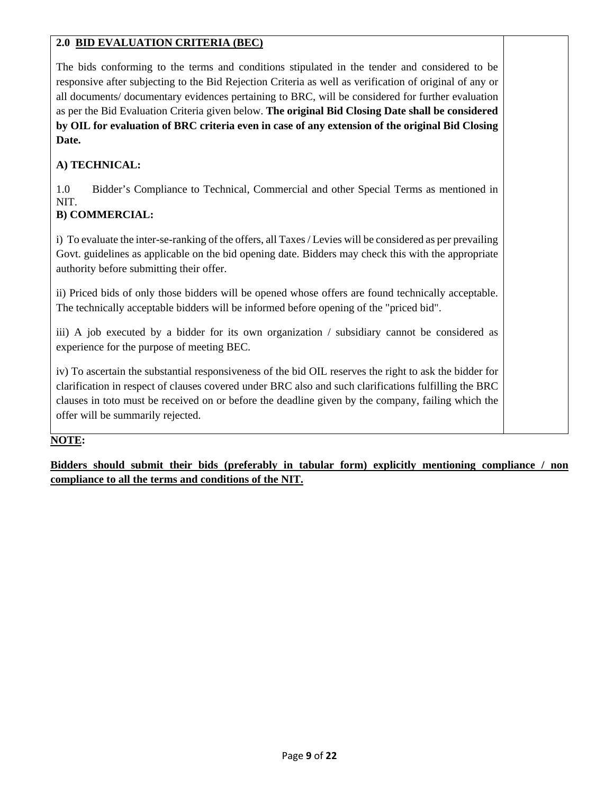# **2.0 BID EVALUATION CRITERIA (BEC)**

The bids conforming to the terms and conditions stipulated in the tender and considered to be responsive after subjecting to the Bid Rejection Criteria as well as verification of original of any or all documents/ documentary evidences pertaining to BRC, will be considered for further evaluation as per the Bid Evaluation Criteria given below. **The original Bid Closing Date shall be considered by OIL for evaluation of BRC criteria even in case of any extension of the original Bid Closing Date.**

# **A) TECHNICAL:**

1.0 Bidder's Compliance to Technical, Commercial and other Special Terms as mentioned in NIT.

# **B) COMMERCIAL:**

i) To evaluate the inter-se-ranking of the offers, all Taxes / Levies will be considered as per prevailing Govt. guidelines as applicable on the bid opening date. Bidders may check this with the appropriate authority before submitting their offer.

ii) Priced bids of only those bidders will be opened whose offers are found technically acceptable. The technically acceptable bidders will be informed before opening of the "priced bid".

iii) A job executed by a bidder for its own organization / subsidiary cannot be considered as experience for the purpose of meeting BEC.

iv) To ascertain the substantial responsiveness of the bid OIL reserves the right to ask the bidder for clarification in respect of clauses covered under BRC also and such clarifications fulfilling the BRC clauses in toto must be received on or before the deadline given by the company, failing which the offer will be summarily rejected.

## **NOTE:**

**Bidders should submit their bids (preferably in tabular form) explicitly mentioning compliance / non compliance to all the terms and conditions of the NIT.**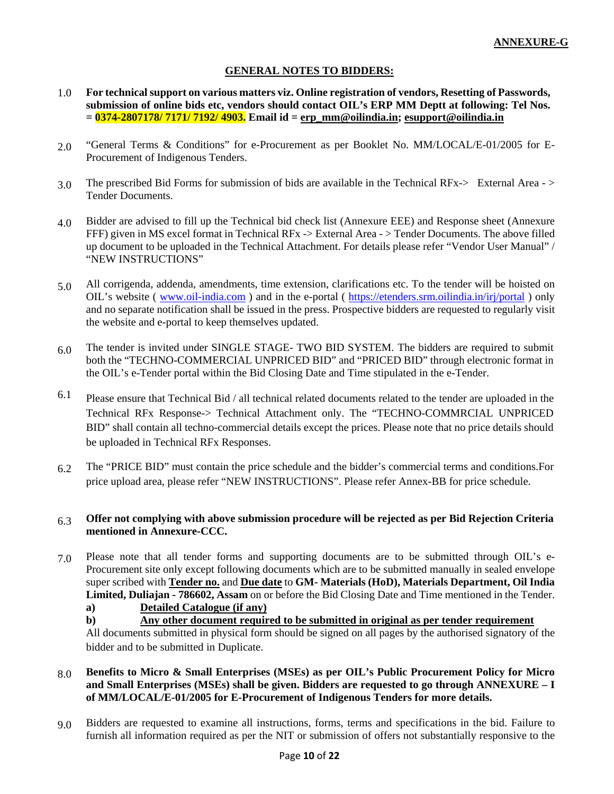#### **GENERAL NOTES TO BIDDERS:**

- 1.0 **For technical support on various matters viz. Online registration of vendors, Resetting of Passwords, submission of online bids etc, vendors should contact OIL's ERP MM Deptt at following: Tel Nos. = 0374-2807178/ 7171/ 7192/ 4903. Email id = [erp\\_mm@oilindia.in;](mailto:erp_mm@oilindia.in) [esupport@oilindia.in](mailto:esupport@oilindia.in)**
- 2.0 "General Terms & Conditions" for e-Procurement as per Booklet No. MM/LOCAL/E-01/2005 for E-Procurement of Indigenous Tenders.
- 3.0 The prescribed Bid Forms for submission of bids are available in the Technical RFx-> External Area > Tender Documents.
- 4.0 Bidder are advised to fill up the Technical bid check list (Annexure EEE) and Response sheet (Annexure FFF) given in MS excel format in Technical RFx -> External Area -> Tender Documents. The above filled up document to be uploaded in the Technical Attachment. For details please refer "Vendor User Manual" / "NEW INSTRUCTIONS"
- 5.0 All corrigenda, addenda, amendments, time extension, clarifications etc. To the tender will be hoisted on OIL's website ( [www.oil-india.com](http://www.oil-india.com/) ) and in the e-portal (<https://etenders.srm.oilindia.in/irj/portal> ) only and no separate notification shall be issued in the press. Prospective bidders are requested to regularly visit the website and e-portal to keep themselves updated.
- 6.0 The tender is invited under SINGLE STAGE- TWO BID SYSTEM. The bidders are required to submit both the "TECHNO-COMMERCIAL UNPRICED BID" and "PRICED BID" through electronic format in the OIL's e-Tender portal within the Bid Closing Date and Time stipulated in the e-Tender.
- 6.1 Please ensure that Technical Bid / all technical related documents related to the tender are uploaded in the Technical RFx Response-> Technical Attachment only. The "TECHNO-COMMRCIAL UNPRICED BID" shall contain all techno-commercial details except the prices. Please note that no price details should be uploaded in Technical RFx Responses.
- 6.2 The "PRICE BID" must contain the price schedule and the bidder's commercial terms and conditions.For price upload area, please refer "NEW INSTRUCTIONS". Please refer Annex-BB for price schedule.

#### 6.3 **Offer not complying with above submission procedure will be rejected as per Bid Rejection Criteria mentioned in Annexure-CCC.**

7.0 Please note that all tender forms and supporting documents are to be submitted through OIL's e-Procurement site only except following documents which are to be submitted manually in sealed envelope super scribed with **Tender no.** and **Due date** to **GM- Materials (HoD), Materials Department, Oil India Limited, Duliajan - 786602, Assam** on or before the Bid Closing Date and Time mentioned in the Tender.

**a) Detailed Catalogue (if any)**

**b) Any other document required to be submitted in original as per tender requirement**

All documents submitted in physical form should be signed on all pages by the authorised signatory of the bidder and to be submitted in Duplicate.

- 8.0 **Benefits to Micro & Small Enterprises (MSEs) as per OIL's Public Procurement Policy for Micro and Small Enterprises (MSEs) shall be given. Bidders are requested to go through ANNEXURE – I of MM/LOCAL/E-01/2005 for E-Procurement of Indigenous Tenders for more details.**
- 9.0 Bidders are requested to examine all instructions, forms, terms and specifications in the bid. Failure to furnish all information required as per the NIT or submission of offers not substantially responsive to the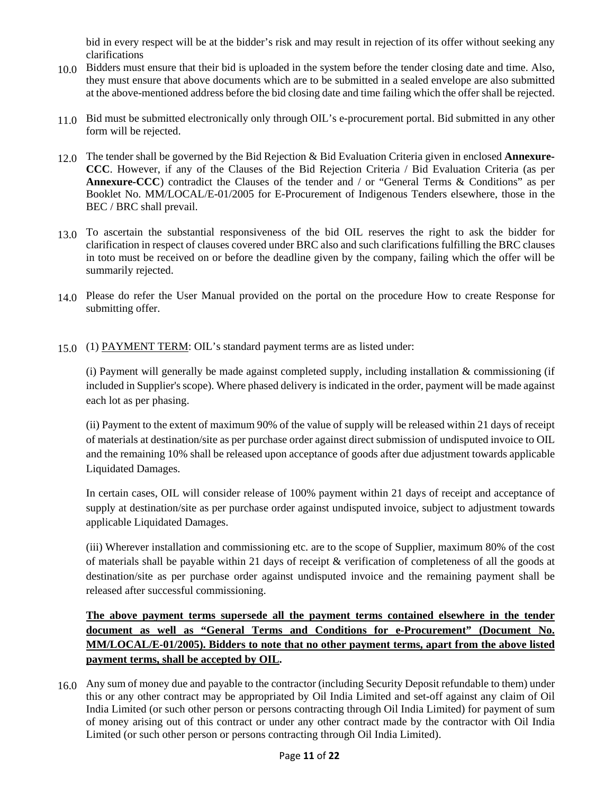bid in every respect will be at the bidder's risk and may result in rejection of its offer without seeking any clarifications

- 10.0 Bidders must ensure that their bid is uploaded in the system before the tender closing date and time. Also, they must ensure that above documents which are to be submitted in a sealed envelope are also submitted at the above-mentioned address before the bid closing date and time failing which the offer shall be rejected.
- 11.0 Bid must be submitted electronically only through OIL's e-procurement portal. Bid submitted in any other form will be rejected.
- 12.0 The tender shall be governed by the Bid Rejection & Bid Evaluation Criteria given in enclosed **Annexure-CCC**. However, if any of the Clauses of the Bid Rejection Criteria / Bid Evaluation Criteria (as per **Annexure-CCC**) contradict the Clauses of the tender and / or "General Terms & Conditions" as per Booklet No. MM/LOCAL/E-01/2005 for E-Procurement of Indigenous Tenders elsewhere, those in the BEC / BRC shall prevail.
- 13.0 To ascertain the substantial responsiveness of the bid OIL reserves the right to ask the bidder for clarification in respect of clauses covered under BRC also and such clarifications fulfilling the BRC clauses in toto must be received on or before the deadline given by the company, failing which the offer will be summarily rejected.
- 14.0 Please do refer the User Manual provided on the portal on the procedure How to create Response for submitting offer.
- 15.0 (1) PAYMENT TERM: OIL's standard payment terms are as listed under:

(i) Payment will generally be made against completed supply, including installation  $\&$  commissioning (if included in Supplier's scope). Where phased delivery is indicated in the order, payment will be made against each lot as per phasing.

(ii) Payment to the extent of maximum 90% of the value of supply will be released within 21 days of receipt of materials at destination/site as per purchase order against direct submission of undisputed invoice to OIL and the remaining 10% shall be released upon acceptance of goods after due adjustment towards applicable Liquidated Damages.

In certain cases, OIL will consider release of 100% payment within 21 days of receipt and acceptance of supply at destination/site as per purchase order against undisputed invoice, subject to adjustment towards applicable Liquidated Damages.

(iii) Wherever installation and commissioning etc. are to the scope of Supplier, maximum 80% of the cost of materials shall be payable within 21 days of receipt & verification of completeness of all the goods at destination/site as per purchase order against undisputed invoice and the remaining payment shall be released after successful commissioning.

**The above payment terms supersede all the payment terms contained elsewhere in the tender document as well as "General Terms and Conditions for e-Procurement" (Document No. MM/LOCAL/E-01/2005). Bidders to note that no other payment terms, apart from the above listed payment terms, shall be accepted by OIL.**

16.0 Any sum of money due and payable to the contractor (including Security Deposit refundable to them) under this or any other contract may be appropriated by Oil India Limited and set-off against any claim of Oil India Limited (or such other person or persons contracting through Oil India Limited) for payment of sum of money arising out of this contract or under any other contract made by the contractor with Oil India Limited (or such other person or persons contracting through Oil India Limited).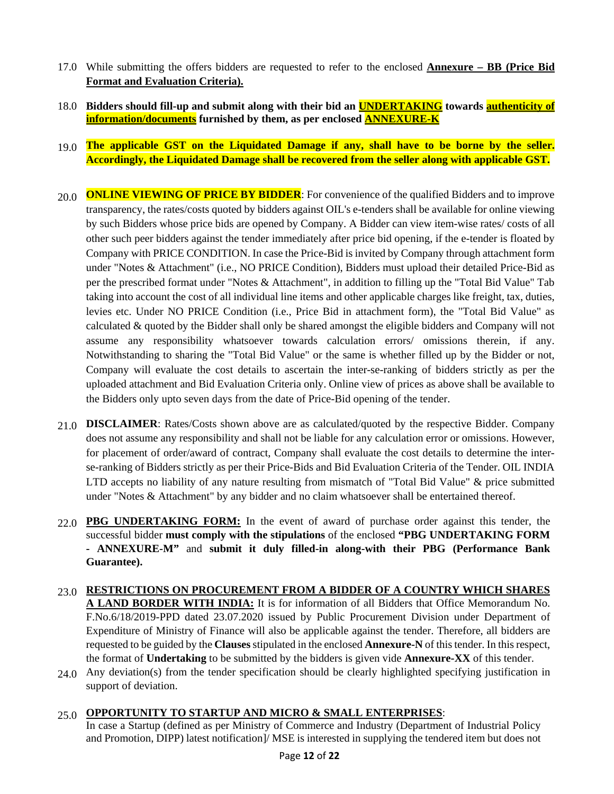- 17.0 While submitting the offers bidders are requested to refer to the enclosed **Annexure – BB (Price Bid Format and Evaluation Criteria).**
- 18.0 **Bidders should fill-up and submit along with their bid an UNDERTAKING towards authenticity of information/documents furnished by them, as per enclosed ANNEXURE-K**
- 19.0 **The applicable GST on the Liquidated Damage if any, shall have to be borne by the seller. Accordingly, the Liquidated Damage shall be recovered from the seller along with applicable GST.**
- 20.0 **ONLINE VIEWING OF PRICE BY BIDDER**: For convenience of the qualified Bidders and to improve transparency, the rates/costs quoted by bidders against OIL's e-tenders shall be available for online viewing by such Bidders whose price bids are opened by Company. A Bidder can view item-wise rates/ costs of all other such peer bidders against the tender immediately after price bid opening, if the e-tender is floated by Company with PRICE CONDITION. In case the Price-Bid is invited by Company through attachment form under "Notes & Attachment" (i.e., NO PRICE Condition), Bidders must upload their detailed Price-Bid as per the prescribed format under "Notes & Attachment", in addition to filling up the "Total Bid Value" Tab taking into account the cost of all individual line items and other applicable charges like freight, tax, duties, levies etc. Under NO PRICE Condition (i.e., Price Bid in attachment form), the "Total Bid Value" as calculated & quoted by the Bidder shall only be shared amongst the eligible bidders and Company will not assume any responsibility whatsoever towards calculation errors/ omissions therein, if any. Notwithstanding to sharing the "Total Bid Value" or the same is whether filled up by the Bidder or not, Company will evaluate the cost details to ascertain the inter-se-ranking of bidders strictly as per the uploaded attachment and Bid Evaluation Criteria only. Online view of prices as above shall be available to the Bidders only upto seven days from the date of Price-Bid opening of the tender.
- 21.0 **DISCLAIMER**: Rates/Costs shown above are as calculated/quoted by the respective Bidder. Company does not assume any responsibility and shall not be liable for any calculation error or omissions. However, for placement of order/award of contract, Company shall evaluate the cost details to determine the interse-ranking of Bidders strictly as per their Price-Bids and Bid Evaluation Criteria of the Tender. OIL INDIA LTD accepts no liability of any nature resulting from mismatch of "Total Bid Value" & price submitted under "Notes & Attachment" by any bidder and no claim whatsoever shall be entertained thereof.
- 22.0 **PBG UNDERTAKING FORM:** In the event of award of purchase order against this tender, the successful bidder **must comply with the stipulations** of the enclosed **"PBG UNDERTAKING FORM - ANNEXURE-M"** and **submit it duly filled-in along-with their PBG (Performance Bank Guarantee).**
- 23.0 **RESTRICTIONS ON PROCUREMENT FROM A BIDDER OF A COUNTRY WHICH SHARES A LAND BORDER WITH INDIA:** It is for information of all Bidders that Office Memorandum No. F.No.6/18/2019-PPD dated 23.07.2020 issued by Public Procurement Division under Department of Expenditure of Ministry of Finance will also be applicable against the tender. Therefore, all bidders are requested to be guided by the **Clauses**stipulated in the enclosed **Annexure-N** of this tender. In this respect, the format of **Undertaking** to be submitted by the bidders is given vide **Annexure-XX** of this tender.
- 24.0 Any deviation(s) from the tender specification should be clearly highlighted specifying justification in support of deviation.
- 25.0 **OPPORTUNITY TO STARTUP AND MICRO & SMALL ENTERPRISES**:

In case a Startup (defined as per Ministry of Commerce and Industry (Department of Industrial Policy and Promotion, DIPP) latest notification]/ MSE is interested in supplying the tendered item but does not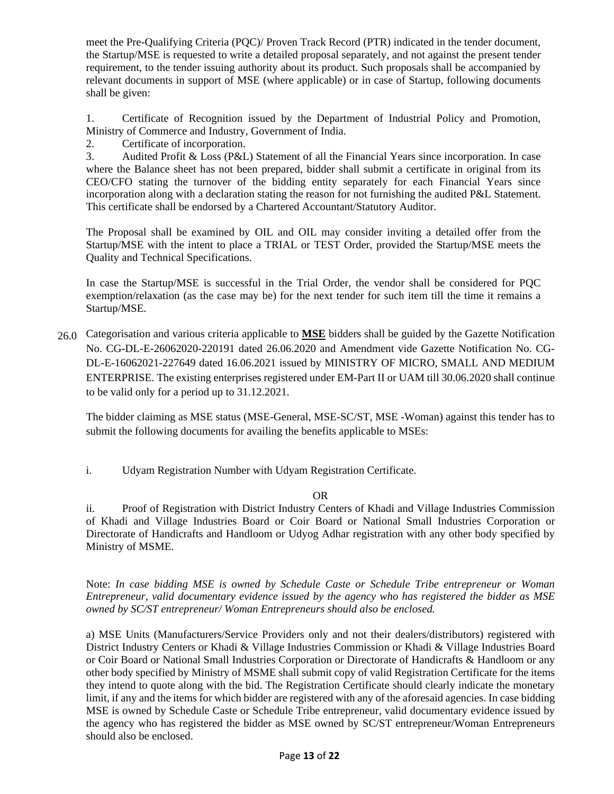meet the Pre-Qualifying Criteria (PQC)/ Proven Track Record (PTR) indicated in the tender document, the Startup/MSE is requested to write a detailed proposal separately, and not against the present tender requirement, to the tender issuing authority about its product. Such proposals shall be accompanied by relevant documents in support of MSE (where applicable) or in case of Startup, following documents shall be given:

1. Certificate of Recognition issued by the Department of Industrial Policy and Promotion, Ministry of Commerce and Industry, Government of India.

2. Certificate of incorporation.

3. Audited Profit & Loss (P&L) Statement of all the Financial Years since incorporation. In case where the Balance sheet has not been prepared, bidder shall submit a certificate in original from its CEO/CFO stating the turnover of the bidding entity separately for each Financial Years since incorporation along with a declaration stating the reason for not furnishing the audited P&L Statement. This certificate shall be endorsed by a Chartered Accountant/Statutory Auditor.

The Proposal shall be examined by OIL and OIL may consider inviting a detailed offer from the Startup/MSE with the intent to place a TRIAL or TEST Order, provided the Startup/MSE meets the Quality and Technical Specifications.

In case the Startup/MSE is successful in the Trial Order, the vendor shall be considered for PQC exemption/relaxation (as the case may be) for the next tender for such item till the time it remains a Startup/MSE.

26.0 Categorisation and various criteria applicable to **MSE** bidders shall be guided by the Gazette Notification No. CG-DL-E-26062020-220191 dated 26.06.2020 and Amendment vide Gazette Notification No. CG-DL-E-16062021-227649 dated 16.06.2021 issued by MINISTRY OF MICRO, SMALL AND MEDIUM ENTERPRISE. The existing enterprises registered under EM-Part II or UAM till 30.06.2020 shall continue to be valid only for a period up to 31.12.2021.

The bidder claiming as MSE status (MSE-General, MSE-SC/ST, MSE -Woman) against this tender has to submit the following documents for availing the benefits applicable to MSEs:

i. Udyam Registration Number with Udyam Registration Certificate.

#### OR

ii. Proof of Registration with District Industry Centers of Khadi and Village Industries Commission of Khadi and Village Industries Board or Coir Board or National Small Industries Corporation or Directorate of Handicrafts and Handloom or Udyog Adhar registration with any other body specified by Ministry of MSME.

Note: *In case bidding MSE is owned by Schedule Caste or Schedule Tribe entrepreneur or Woman Entrepreneur, valid documentary evidence issued by the agency who has registered the bidder as MSE owned by SC/ST entrepreneur/ Woman Entrepreneurs should also be enclosed.*

a) MSE Units (Manufacturers/Service Providers only and not their dealers/distributors) registered with District Industry Centers or Khadi & Village Industries Commission or Khadi & Village Industries Board or Coir Board or National Small Industries Corporation or Directorate of Handicrafts & Handloom or any other body specified by Ministry of MSME shall submit copy of valid Registration Certificate for the items they intend to quote along with the bid. The Registration Certificate should clearly indicate the monetary limit, if any and the items for which bidder are registered with any of the aforesaid agencies. In case bidding MSE is owned by Schedule Caste or Schedule Tribe entrepreneur, valid documentary evidence issued by the agency who has registered the bidder as MSE owned by SC/ST entrepreneur/Woman Entrepreneurs should also be enclosed.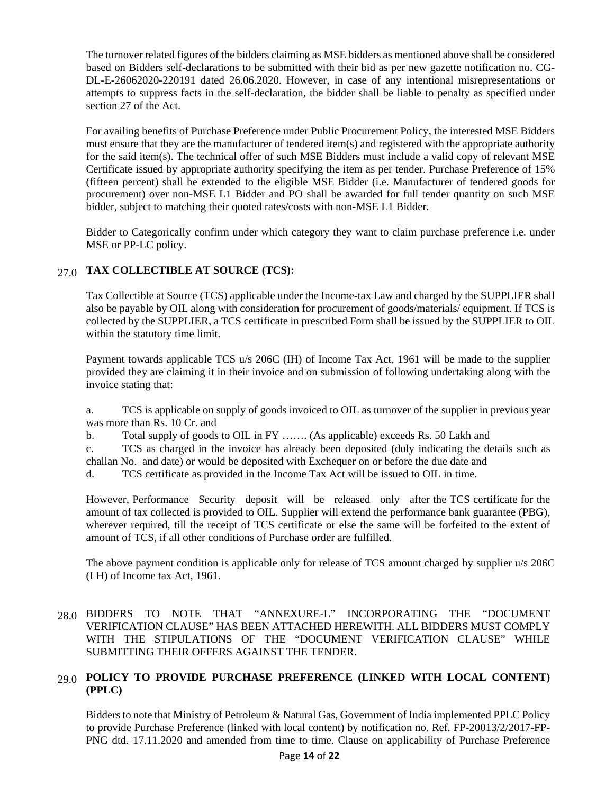The turnover related figures of the bidders claiming as MSE bidders as mentioned above shall be considered based on Bidders self-declarations to be submitted with their bid as per new gazette notification no. CG-DL-E-26062020-220191 dated 26.06.2020. However, in case of any intentional misrepresentations or attempts to suppress facts in the self-declaration, the bidder shall be liable to penalty as specified under section 27 of the Act.

For availing benefits of Purchase Preference under Public Procurement Policy, the interested MSE Bidders must ensure that they are the manufacturer of tendered item(s) and registered with the appropriate authority for the said item(s). The technical offer of such MSE Bidders must include a valid copy of relevant MSE Certificate issued by appropriate authority specifying the item as per tender. Purchase Preference of 15% (fifteen percent) shall be extended to the eligible MSE Bidder (i.e. Manufacturer of tendered goods for procurement) over non-MSE L1 Bidder and PO shall be awarded for full tender quantity on such MSE bidder, subject to matching their quoted rates/costs with non-MSE L1 Bidder.

Bidder to Categorically confirm under which category they want to claim purchase preference i.e. under MSE or PP-LC policy.

# 27.0 **TAX COLLECTIBLE AT SOURCE (TCS):**

Tax Collectible at Source (TCS) applicable under the Income-tax Law and charged by the SUPPLIER shall also be payable by OIL along with consideration for procurement of goods/materials/ equipment. If TCS is collected by the SUPPLIER, a TCS certificate in prescribed Form shall be issued by the SUPPLIER to OIL within the statutory time limit.

Payment towards applicable TCS u/s 206C (IH) of Income Tax Act, 1961 will be made to the supplier provided they are claiming it in their invoice and on submission of following undertaking along with the invoice stating that:

a. TCS is applicable on supply of goods invoiced to OIL as turnover of the supplier in previous year was more than Rs. 10 Cr. and

b. Total supply of goods to OIL in FY ……. (As applicable) exceeds Rs. 50 Lakh and

c. TCS as charged in the invoice has already been deposited (duly indicating the details such as challan No. and date) or would be deposited with Exchequer on or before the due date and

d. TCS certificate as provided in the Income Tax Act will be issued to OIL in time.

However, Performance Security deposit will be released only after the TCS certificate for the amount of tax collected is provided to OIL. Supplier will extend the performance bank guarantee (PBG), wherever required, till the receipt of TCS certificate or else the same will be forfeited to the extent of amount of TCS, if all other conditions of Purchase order are fulfilled.

The above payment condition is applicable only for release of TCS amount charged by supplier u/s 206C (I H) of Income tax Act, 1961.

### 28.0 BIDDERS TO NOTE THAT "ANNEXURE-L" INCORPORATING THE "DOCUMENT VERIFICATION CLAUSE" HAS BEEN ATTACHED HEREWITH. ALL BIDDERS MUST COMPLY WITH THE STIPULATIONS OF THE "DOCUMENT VERIFICATION CLAUSE" WHILE SUBMITTING THEIR OFFERS AGAINST THE TENDER.

## 29.0 **POLICY TO PROVIDE PURCHASE PREFERENCE (LINKED WITH LOCAL CONTENT) (PPLC)**

Bidders to note that Ministry of Petroleum & Natural Gas, Government of India implemented PPLC Policy to provide Purchase Preference (linked with local content) by notification no. Ref. FP-20013/2/2017-FP-PNG dtd. 17.11.2020 and amended from time to time. Clause on applicability of Purchase Preference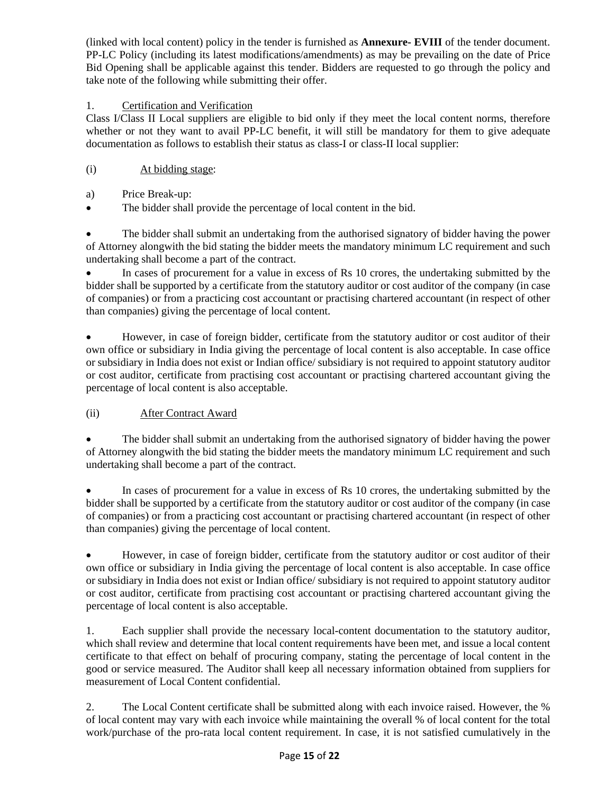(linked with local content) policy in the tender is furnished as **Annexure- EVIII** of the tender document. PP-LC Policy (including its latest modifications/amendments) as may be prevailing on the date of Price Bid Opening shall be applicable against this tender. Bidders are requested to go through the policy and take note of the following while submitting their offer.

# 1. Certification and Verification

Class I/Class II Local suppliers are eligible to bid only if they meet the local content norms, therefore whether or not they want to avail PP-LC benefit, it will still be mandatory for them to give adequate documentation as follows to establish their status as class-I or class-II local supplier:

- (i) At bidding stage:
- a) Price Break-up:
- The bidder shall provide the percentage of local content in the bid.

• The bidder shall submit an undertaking from the authorised signatory of bidder having the power of Attorney alongwith the bid stating the bidder meets the mandatory minimum LC requirement and such undertaking shall become a part of the contract.

• In cases of procurement for a value in excess of Rs 10 crores, the undertaking submitted by the bidder shall be supported by a certificate from the statutory auditor or cost auditor of the company (in case of companies) or from a practicing cost accountant or practising chartered accountant (in respect of other than companies) giving the percentage of local content.

• However, in case of foreign bidder, certificate from the statutory auditor or cost auditor of their own office or subsidiary in India giving the percentage of local content is also acceptable. In case office or subsidiary in India does not exist or Indian office/ subsidiary is not required to appoint statutory auditor or cost auditor, certificate from practising cost accountant or practising chartered accountant giving the percentage of local content is also acceptable.

## (ii) After Contract Award

• The bidder shall submit an undertaking from the authorised signatory of bidder having the power of Attorney alongwith the bid stating the bidder meets the mandatory minimum LC requirement and such undertaking shall become a part of the contract.

In cases of procurement for a value in excess of Rs 10 crores, the undertaking submitted by the bidder shall be supported by a certificate from the statutory auditor or cost auditor of the company (in case of companies) or from a practicing cost accountant or practising chartered accountant (in respect of other than companies) giving the percentage of local content.

• However, in case of foreign bidder, certificate from the statutory auditor or cost auditor of their own office or subsidiary in India giving the percentage of local content is also acceptable. In case office or subsidiary in India does not exist or Indian office/ subsidiary is not required to appoint statutory auditor or cost auditor, certificate from practising cost accountant or practising chartered accountant giving the percentage of local content is also acceptable.

1. Each supplier shall provide the necessary local-content documentation to the statutory auditor, which shall review and determine that local content requirements have been met, and issue a local content certificate to that effect on behalf of procuring company, stating the percentage of local content in the good or service measured. The Auditor shall keep all necessary information obtained from suppliers for measurement of Local Content confidential.

2. The Local Content certificate shall be submitted along with each invoice raised. However, the % of local content may vary with each invoice while maintaining the overall % of local content for the total work/purchase of the pro-rata local content requirement. In case, it is not satisfied cumulatively in the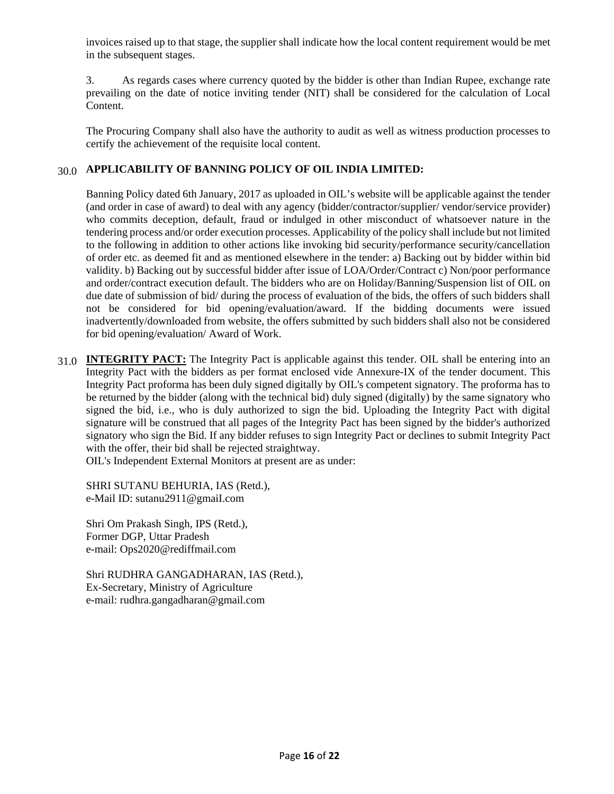invoices raised up to that stage, the supplier shall indicate how the local content requirement would be met in the subsequent stages.

3. As regards cases where currency quoted by the bidder is other than Indian Rupee, exchange rate prevailing on the date of notice inviting tender (NIT) shall be considered for the calculation of Local Content.

The Procuring Company shall also have the authority to audit as well as witness production processes to certify the achievement of the requisite local content.

### 30.0 **APPLICABILITY OF BANNING POLICY OF OIL INDIA LIMITED:**

Banning Policy dated 6th January, 2017 as uploaded in OIL's website will be applicable against the tender (and order in case of award) to deal with any agency (bidder/contractor/supplier/ vendor/service provider) who commits deception, default, fraud or indulged in other misconduct of whatsoever nature in the tendering process and/or order execution processes. Applicability of the policy shall include but not limited to the following in addition to other actions like invoking bid security/performance security/cancellation of order etc. as deemed fit and as mentioned elsewhere in the tender: a) Backing out by bidder within bid validity. b) Backing out by successful bidder after issue of LOA/Order/Contract c) Non/poor performance and order/contract execution default. The bidders who are on Holiday/Banning/Suspension list of OIL on due date of submission of bid/ during the process of evaluation of the bids, the offers of such bidders shall not be considered for bid opening/evaluation/award. If the bidding documents were issued inadvertently/downloaded from website, the offers submitted by such bidders shall also not be considered for bid opening/evaluation/ Award of Work.

31.0 **INTEGRITY PACT:** The Integrity Pact is applicable against this tender. OIL shall be entering into an Integrity Pact with the bidders as per format enclosed vide Annexure-IX of the tender document. This Integrity Pact proforma has been duly signed digitally by OIL's competent signatory. The proforma has to be returned by the bidder (along with the technical bid) duly signed (digitally) by the same signatory who signed the bid, i.e., who is duly authorized to sign the bid. Uploading the Integrity Pact with digital signature will be construed that all pages of the Integrity Pact has been signed by the bidder's authorized signatory who sign the Bid. If any bidder refuses to sign Integrity Pact or declines to submit Integrity Pact with the offer, their bid shall be rejected straightway.

OIL's Independent External Monitors at present are as under:

SHRI SUTANU BEHURIA, IAS (Retd.), e-Mail ID: sutanu2911@gmaiI.com

Shri Om Prakash Singh, IPS (Retd.), Former DGP, Uttar Pradesh e-mail: Ops2020@rediffmail.com

Shri RUDHRA GANGADHARAN, IAS (Retd.), Ex-Secretary, Ministry of Agriculture e-mail: rudhra.gangadharan@gmail.com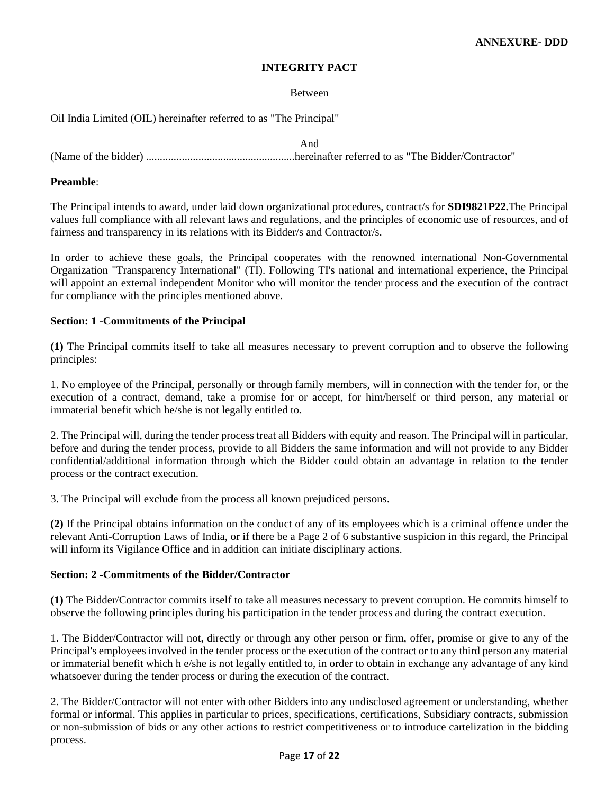#### **INTEGRITY PACT**

#### Between

Oil India Limited (OIL) hereinafter referred to as "The Principal"

And (Name of the bidder) ......................................................hereinafter referred to as "The Bidder/Contractor"

#### **Preamble**:

The Principal intends to award, under laid down organizational procedures, contract/s for **SDI9821P22.**The Principal values full compliance with all relevant laws and regulations, and the principles of economic use of resources, and of fairness and transparency in its relations with its Bidder/s and Contractor/s.

In order to achieve these goals, the Principal cooperates with the renowned international Non-Governmental Organization "Transparency International" (TI). Following TI's national and international experience, the Principal will appoint an external independent Monitor who will monitor the tender process and the execution of the contract for compliance with the principles mentioned above.

#### **Section: 1 -Commitments of the Principal**

**(1)** The Principal commits itself to take all measures necessary to prevent corruption and to observe the following principles:

1. No employee of the Principal, personally or through family members, will in connection with the tender for, or the execution of a contract, demand, take a promise for or accept, for him/herself or third person, any material or immaterial benefit which he/she is not legally entitled to.

2. The Principal will, during the tender process treat all Bidders with equity and reason. The Principal will in particular, before and during the tender process, provide to all Bidders the same information and will not provide to any Bidder confidential/additional information through which the Bidder could obtain an advantage in relation to the tender process or the contract execution.

3. The Principal will exclude from the process all known prejudiced persons.

**(2)** If the Principal obtains information on the conduct of any of its employees which is a criminal offence under the relevant Anti-Corruption Laws of India, or if there be a Page 2 of 6 substantive suspicion in this regard, the Principal will inform its Vigilance Office and in addition can initiate disciplinary actions.

#### **Section: 2 -Commitments of the Bidder/Contractor**

**(1)** The Bidder/Contractor commits itself to take all measures necessary to prevent corruption. He commits himself to observe the following principles during his participation in the tender process and during the contract execution.

1. The Bidder/Contractor will not, directly or through any other person or firm, offer, promise or give to any of the Principal's employees involved in the tender process or the execution of the contract or to any third person any material or immaterial benefit which h e/she is not legally entitled to, in order to obtain in exchange any advantage of any kind whatsoever during the tender process or during the execution of the contract.

2. The Bidder/Contractor will not enter with other Bidders into any undisclosed agreement or understanding, whether formal or informal. This applies in particular to prices, specifications, certifications, Subsidiary contracts, submission or non-submission of bids or any other actions to restrict competitiveness or to introduce cartelization in the bidding process.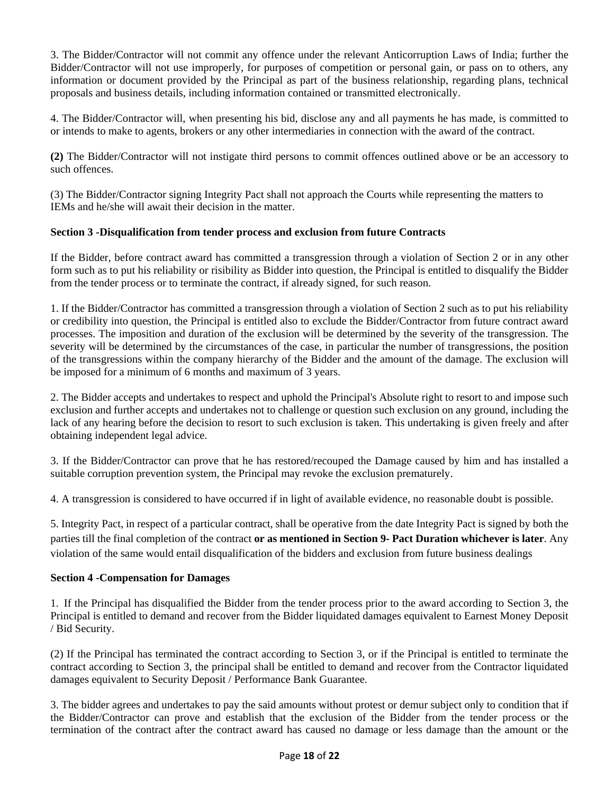3. The Bidder/Contractor will not commit any offence under the relevant Anticorruption Laws of India; further the Bidder/Contractor will not use improperly, for purposes of competition or personal gain, or pass on to others, any information or document provided by the Principal as part of the business relationship, regarding plans, technical proposals and business details, including information contained or transmitted electronically.

4. The Bidder/Contractor will, when presenting his bid, disclose any and all payments he has made, is committed to or intends to make to agents, brokers or any other intermediaries in connection with the award of the contract.

**(2)** The Bidder/Contractor will not instigate third persons to commit offences outlined above or be an accessory to such offences.

(3) The Bidder/Contractor signing Integrity Pact shall not approach the Courts while representing the matters to IEMs and he/she will await their decision in the matter.

#### **Section 3 -Disqualification from tender process and exclusion from future Contracts**

If the Bidder, before contract award has committed a transgression through a violation of Section 2 or in any other form such as to put his reliability or risibility as Bidder into question, the Principal is entitled to disqualify the Bidder from the tender process or to terminate the contract, if already signed, for such reason.

1. If the Bidder/Contractor has committed a transgression through a violation of Section 2 such as to put his reliability or credibility into question, the Principal is entitled also to exclude the Bidder/Contractor from future contract award processes. The imposition and duration of the exclusion will be determined by the severity of the transgression. The severity will be determined by the circumstances of the case, in particular the number of transgressions, the position of the transgressions within the company hierarchy of the Bidder and the amount of the damage. The exclusion will be imposed for a minimum of 6 months and maximum of 3 years.

2. The Bidder accepts and undertakes to respect and uphold the Principal's Absolute right to resort to and impose such exclusion and further accepts and undertakes not to challenge or question such exclusion on any ground, including the lack of any hearing before the decision to resort to such exclusion is taken. This undertaking is given freely and after obtaining independent legal advice.

3. If the Bidder/Contractor can prove that he has restored/recouped the Damage caused by him and has installed a suitable corruption prevention system, the Principal may revoke the exclusion prematurely.

4. A transgression is considered to have occurred if in light of available evidence, no reasonable doubt is possible.

5. Integrity Pact, in respect of a particular contract, shall be operative from the date Integrity Pact is signed by both the parties till the final completion of the contract **or as mentioned in Section 9- Pact Duration whichever is later**. Any violation of the same would entail disqualification of the bidders and exclusion from future business dealings

#### **Section 4 -Compensation for Damages**

1. If the Principal has disqualified the Bidder from the tender process prior to the award according to Section 3, the Principal is entitled to demand and recover from the Bidder liquidated damages equivalent to Earnest Money Deposit / Bid Security.

(2) If the Principal has terminated the contract according to Section 3, or if the Principal is entitled to terminate the contract according to Section 3, the principal shall be entitled to demand and recover from the Contractor liquidated damages equivalent to Security Deposit / Performance Bank Guarantee.

3. The bidder agrees and undertakes to pay the said amounts without protest or demur subject only to condition that if the Bidder/Contractor can prove and establish that the exclusion of the Bidder from the tender process or the termination of the contract after the contract award has caused no damage or less damage than the amount or the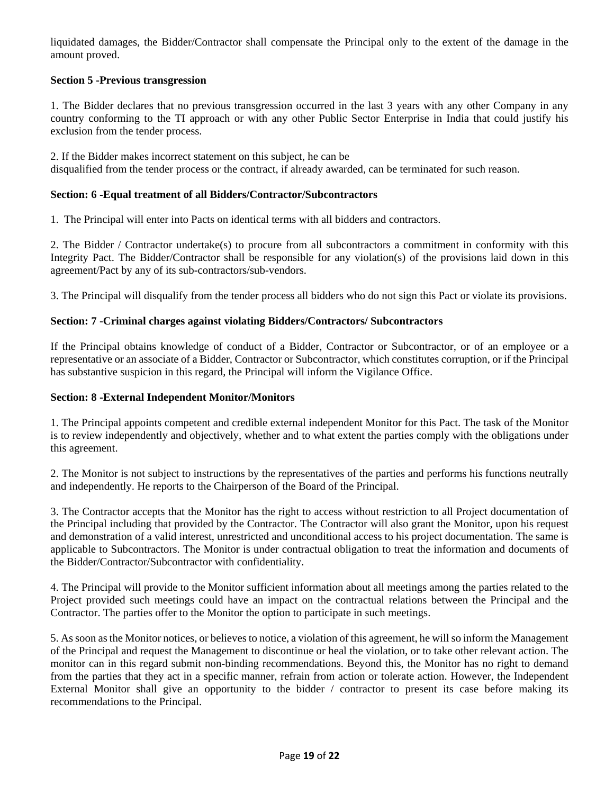liquidated damages, the Bidder/Contractor shall compensate the Principal only to the extent of the damage in the amount proved.

### **Section 5 -Previous transgression**

1. The Bidder declares that no previous transgression occurred in the last 3 years with any other Company in any country conforming to the TI approach or with any other Public Sector Enterprise in India that could justify his exclusion from the tender process.

2. If the Bidder makes incorrect statement on this subject, he can be disqualified from the tender process or the contract, if already awarded, can be terminated for such reason.

#### **Section: 6 -Equal treatment of all Bidders/Contractor/Subcontractors**

1. The Principal will enter into Pacts on identical terms with all bidders and contractors.

2. The Bidder / Contractor undertake(s) to procure from all subcontractors a commitment in conformity with this Integrity Pact. The Bidder/Contractor shall be responsible for any violation(s) of the provisions laid down in this agreement/Pact by any of its sub-contractors/sub-vendors.

3. The Principal will disqualify from the tender process all bidders who do not sign this Pact or violate its provisions.

#### **Section: 7 -Criminal charges against violating Bidders/Contractors/ Subcontractors**

If the Principal obtains knowledge of conduct of a Bidder, Contractor or Subcontractor, or of an employee or a representative or an associate of a Bidder, Contractor or Subcontractor, which constitutes corruption, or if the Principal has substantive suspicion in this regard, the Principal will inform the Vigilance Office.

#### **Section: 8 -External Independent Monitor/Monitors**

1. The Principal appoints competent and credible external independent Monitor for this Pact. The task of the Monitor is to review independently and objectively, whether and to what extent the parties comply with the obligations under this agreement.

2. The Monitor is not subject to instructions by the representatives of the parties and performs his functions neutrally and independently. He reports to the Chairperson of the Board of the Principal.

3. The Contractor accepts that the Monitor has the right to access without restriction to all Project documentation of the Principal including that provided by the Contractor. The Contractor will also grant the Monitor, upon his request and demonstration of a valid interest, unrestricted and unconditional access to his project documentation. The same is applicable to Subcontractors. The Monitor is under contractual obligation to treat the information and documents of the Bidder/Contractor/Subcontractor with confidentiality.

4. The Principal will provide to the Monitor sufficient information about all meetings among the parties related to the Project provided such meetings could have an impact on the contractual relations between the Principal and the Contractor. The parties offer to the Monitor the option to participate in such meetings.

5. As soon as the Monitor notices, or believes to notice, a violation of this agreement, he will so inform the Management of the Principal and request the Management to discontinue or heal the violation, or to take other relevant action. The monitor can in this regard submit non-binding recommendations. Beyond this, the Monitor has no right to demand from the parties that they act in a specific manner, refrain from action or tolerate action. However, the Independent External Monitor shall give an opportunity to the bidder / contractor to present its case before making its recommendations to the Principal.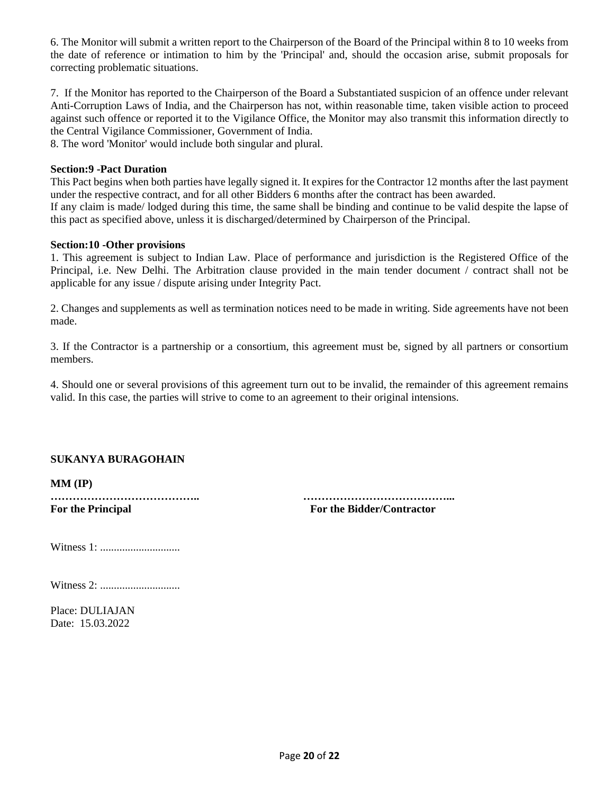6. The Monitor will submit a written report to the Chairperson of the Board of the Principal within 8 to 10 weeks from the date of reference or intimation to him by the 'Principal' and, should the occasion arise, submit proposals for correcting problematic situations.

7. If the Monitor has reported to the Chairperson of the Board a Substantiated suspicion of an offence under relevant Anti-Corruption Laws of India, and the Chairperson has not, within reasonable time, taken visible action to proceed against such offence or reported it to the Vigilance Office, the Monitor may also transmit this information directly to the Central Vigilance Commissioner, Government of India.

8. The word 'Monitor' would include both singular and plural.

#### **Section:9 -Pact Duration**

This Pact begins when both parties have legally signed it. It expires for the Contractor 12 months after the last payment under the respective contract, and for all other Bidders 6 months after the contract has been awarded. If any claim is made/ lodged during this time, the same shall be binding and continue to be valid despite the lapse of this pact as specified above, unless it is discharged/determined by Chairperson of the Principal.

#### **Section:10 -Other provisions**

1. This agreement is subject to Indian Law. Place of performance and jurisdiction is the Registered Office of the Principal, i.e. New Delhi. The Arbitration clause provided in the main tender document / contract shall not be applicable for any issue / dispute arising under Integrity Pact.

2. Changes and supplements as well as termination notices need to be made in writing. Side agreements have not been made.

3. If the Contractor is a partnership or a consortium, this agreement must be, signed by all partners or consortium members.

4. Should one or several provisions of this agreement turn out to be invalid, the remainder of this agreement remains valid. In this case, the parties will strive to come to an agreement to their original intensions.

#### **SUKANYA BURAGOHAIN**

**MM (IP)**

**………………………………….. …………………………………... For the Principal For the Bidder/Contractor**

Witness 1: .............................

Witness 2: .............................

Place: DULIAJAN Date: 15.03.2022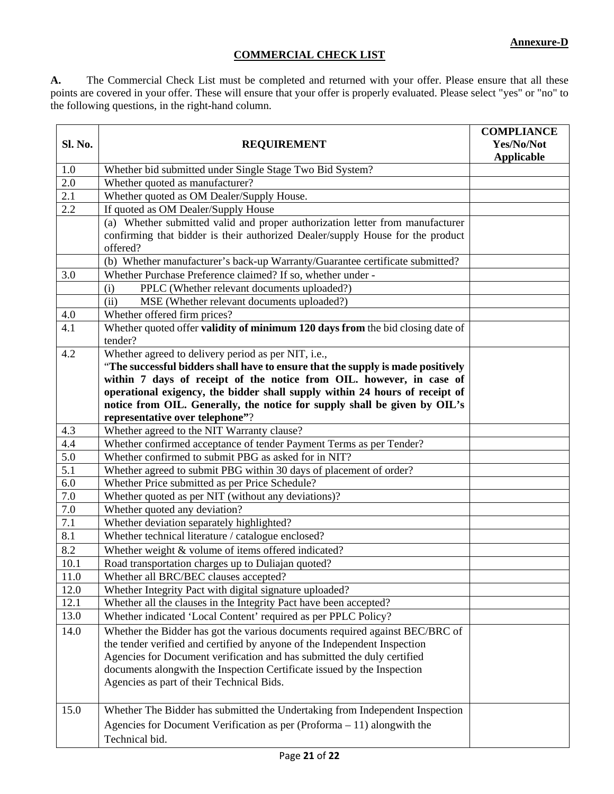# **COMMERCIAL CHECK LIST**

**A.** The Commercial Check List must be completed and returned with your offer. Please ensure that all these points are covered in your offer. These will ensure that your offer is properly evaluated. Please select "yes" or "no" to the following questions, in the right-hand column.

| Sl. No.    | <b>REQUIREMENT</b>                                                                                                                                                                                                                                                                                                                                           | <b>COMPLIANCE</b><br>Yes/No/Not<br><b>Applicable</b> |
|------------|--------------------------------------------------------------------------------------------------------------------------------------------------------------------------------------------------------------------------------------------------------------------------------------------------------------------------------------------------------------|------------------------------------------------------|
| 1.0        | Whether bid submitted under Single Stage Two Bid System?                                                                                                                                                                                                                                                                                                     |                                                      |
| 2.0        | Whether quoted as manufacturer?                                                                                                                                                                                                                                                                                                                              |                                                      |
| 2.1        | Whether quoted as OM Dealer/Supply House.                                                                                                                                                                                                                                                                                                                    |                                                      |
| 2.2        | If quoted as OM Dealer/Supply House                                                                                                                                                                                                                                                                                                                          |                                                      |
|            | (a) Whether submitted valid and proper authorization letter from manufacturer<br>confirming that bidder is their authorized Dealer/supply House for the product                                                                                                                                                                                              |                                                      |
|            | offered?                                                                                                                                                                                                                                                                                                                                                     |                                                      |
|            | (b) Whether manufacturer's back-up Warranty/Guarantee certificate submitted?                                                                                                                                                                                                                                                                                 |                                                      |
| 3.0        | Whether Purchase Preference claimed? If so, whether under -                                                                                                                                                                                                                                                                                                  |                                                      |
|            | PPLC (Whether relevant documents uploaded?)<br>(i)                                                                                                                                                                                                                                                                                                           |                                                      |
|            | (ii)<br>MSE (Whether relevant documents uploaded?)                                                                                                                                                                                                                                                                                                           |                                                      |
| 4.0        | Whether offered firm prices?                                                                                                                                                                                                                                                                                                                                 |                                                      |
| 4.1        | Whether quoted offer validity of minimum 120 days from the bid closing date of<br>tender?                                                                                                                                                                                                                                                                    |                                                      |
| 4.2        | Whether agreed to delivery period as per NIT, i.e.,                                                                                                                                                                                                                                                                                                          |                                                      |
|            | "The successful bidders shall have to ensure that the supply is made positively                                                                                                                                                                                                                                                                              |                                                      |
|            | within 7 days of receipt of the notice from OIL. however, in case of                                                                                                                                                                                                                                                                                         |                                                      |
|            | operational exigency, the bidder shall supply within 24 hours of receipt of                                                                                                                                                                                                                                                                                  |                                                      |
|            | notice from OIL. Generally, the notice for supply shall be given by OIL's                                                                                                                                                                                                                                                                                    |                                                      |
|            | representative over telephone"?                                                                                                                                                                                                                                                                                                                              |                                                      |
| 4.3        | Whether agreed to the NIT Warranty clause?                                                                                                                                                                                                                                                                                                                   |                                                      |
| 4.4        | Whether confirmed acceptance of tender Payment Terms as per Tender?                                                                                                                                                                                                                                                                                          |                                                      |
| 5.0<br>5.1 | Whether confirmed to submit PBG as asked for in NIT?                                                                                                                                                                                                                                                                                                         |                                                      |
| 6.0        | Whether agreed to submit PBG within 30 days of placement of order?                                                                                                                                                                                                                                                                                           |                                                      |
| 7.0        | Whether Price submitted as per Price Schedule?<br>Whether quoted as per NIT (without any deviations)?                                                                                                                                                                                                                                                        |                                                      |
| 7.0        | Whether quoted any deviation?                                                                                                                                                                                                                                                                                                                                |                                                      |
| 7.1        | Whether deviation separately highlighted?                                                                                                                                                                                                                                                                                                                    |                                                      |
| 8.1        | Whether technical literature / catalogue enclosed?                                                                                                                                                                                                                                                                                                           |                                                      |
| 8.2        | Whether weight & volume of items offered indicated?                                                                                                                                                                                                                                                                                                          |                                                      |
| 10.1       | Road transportation charges up to Duliajan quoted?                                                                                                                                                                                                                                                                                                           |                                                      |
| 11.0       | Whether all BRC/BEC clauses accepted?                                                                                                                                                                                                                                                                                                                        |                                                      |
| 12.0       | Whether Integrity Pact with digital signature uploaded?                                                                                                                                                                                                                                                                                                      |                                                      |
| 12.1       | Whether all the clauses in the Integrity Pact have been accepted?                                                                                                                                                                                                                                                                                            |                                                      |
| 13.0       | Whether indicated 'Local Content' required as per PPLC Policy?                                                                                                                                                                                                                                                                                               |                                                      |
|            |                                                                                                                                                                                                                                                                                                                                                              |                                                      |
| 14.0       | Whether the Bidder has got the various documents required against BEC/BRC of<br>the tender verified and certified by anyone of the Independent Inspection<br>Agencies for Document verification and has submitted the duly certified<br>documents alongwith the Inspection Certificate issued by the Inspection<br>Agencies as part of their Technical Bids. |                                                      |
| 15.0       | Whether The Bidder has submitted the Undertaking from Independent Inspection<br>Agencies for Document Verification as per (Proforma - 11) alongwith the<br>Technical bid.                                                                                                                                                                                    |                                                      |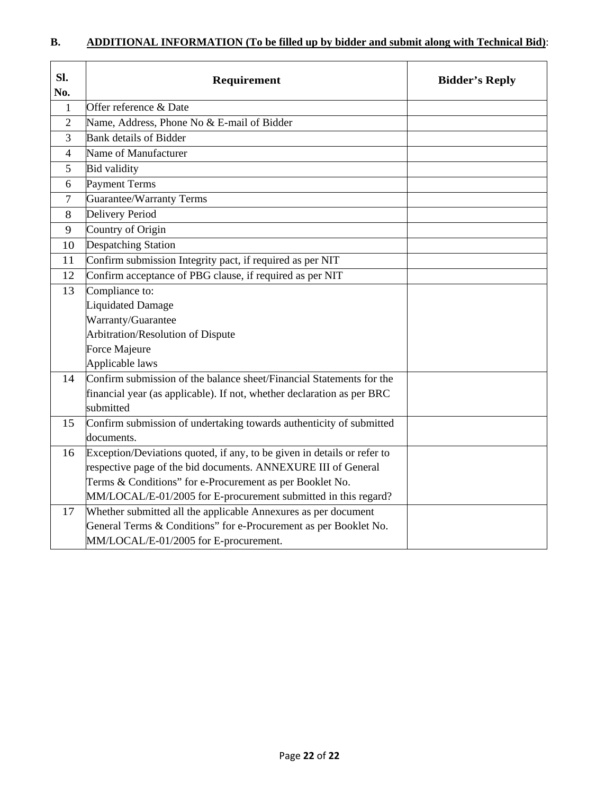| Sl.<br>No.           | Requirement                                                                                                                                                                                                                                                                                                                                                                                                                                                                                                                                                                                                                                                                                                                                                                                             | <b>Bidder's Reply</b> |
|----------------------|---------------------------------------------------------------------------------------------------------------------------------------------------------------------------------------------------------------------------------------------------------------------------------------------------------------------------------------------------------------------------------------------------------------------------------------------------------------------------------------------------------------------------------------------------------------------------------------------------------------------------------------------------------------------------------------------------------------------------------------------------------------------------------------------------------|-----------------------|
| $\mathbf{1}$         | Offer reference & Date                                                                                                                                                                                                                                                                                                                                                                                                                                                                                                                                                                                                                                                                                                                                                                                  |                       |
| $\overline{2}$       | Name, Address, Phone No & E-mail of Bidder                                                                                                                                                                                                                                                                                                                                                                                                                                                                                                                                                                                                                                                                                                                                                              |                       |
| 3                    | Bank details of Bidder                                                                                                                                                                                                                                                                                                                                                                                                                                                                                                                                                                                                                                                                                                                                                                                  |                       |
| 4                    | Name of Manufacturer                                                                                                                                                                                                                                                                                                                                                                                                                                                                                                                                                                                                                                                                                                                                                                                    |                       |
| 5                    | <b>Bid validity</b>                                                                                                                                                                                                                                                                                                                                                                                                                                                                                                                                                                                                                                                                                                                                                                                     |                       |
| 6                    | Payment Terms                                                                                                                                                                                                                                                                                                                                                                                                                                                                                                                                                                                                                                                                                                                                                                                           |                       |
| $\overline{7}$       | <b>Guarantee/Warranty Terms</b>                                                                                                                                                                                                                                                                                                                                                                                                                                                                                                                                                                                                                                                                                                                                                                         |                       |
| 8                    | Delivery Period                                                                                                                                                                                                                                                                                                                                                                                                                                                                                                                                                                                                                                                                                                                                                                                         |                       |
| 9                    | Country of Origin                                                                                                                                                                                                                                                                                                                                                                                                                                                                                                                                                                                                                                                                                                                                                                                       |                       |
| 10                   | <b>Despatching Station</b>                                                                                                                                                                                                                                                                                                                                                                                                                                                                                                                                                                                                                                                                                                                                                                              |                       |
| 11                   | Confirm submission Integrity pact, if required as per NIT                                                                                                                                                                                                                                                                                                                                                                                                                                                                                                                                                                                                                                                                                                                                               |                       |
| 12                   | Confirm acceptance of PBG clause, if required as per NIT                                                                                                                                                                                                                                                                                                                                                                                                                                                                                                                                                                                                                                                                                                                                                |                       |
| 13                   | Compliance to:                                                                                                                                                                                                                                                                                                                                                                                                                                                                                                                                                                                                                                                                                                                                                                                          |                       |
|                      |                                                                                                                                                                                                                                                                                                                                                                                                                                                                                                                                                                                                                                                                                                                                                                                                         |                       |
|                      | Warranty/Guarantee                                                                                                                                                                                                                                                                                                                                                                                                                                                                                                                                                                                                                                                                                                                                                                                      |                       |
|                      |                                                                                                                                                                                                                                                                                                                                                                                                                                                                                                                                                                                                                                                                                                                                                                                                         |                       |
|                      |                                                                                                                                                                                                                                                                                                                                                                                                                                                                                                                                                                                                                                                                                                                                                                                                         |                       |
|                      |                                                                                                                                                                                                                                                                                                                                                                                                                                                                                                                                                                                                                                                                                                                                                                                                         |                       |
|                      |                                                                                                                                                                                                                                                                                                                                                                                                                                                                                                                                                                                                                                                                                                                                                                                                         |                       |
|                      |                                                                                                                                                                                                                                                                                                                                                                                                                                                                                                                                                                                                                                                                                                                                                                                                         |                       |
|                      |                                                                                                                                                                                                                                                                                                                                                                                                                                                                                                                                                                                                                                                                                                                                                                                                         |                       |
|                      |                                                                                                                                                                                                                                                                                                                                                                                                                                                                                                                                                                                                                                                                                                                                                                                                         |                       |
|                      |                                                                                                                                                                                                                                                                                                                                                                                                                                                                                                                                                                                                                                                                                                                                                                                                         |                       |
|                      |                                                                                                                                                                                                                                                                                                                                                                                                                                                                                                                                                                                                                                                                                                                                                                                                         |                       |
|                      |                                                                                                                                                                                                                                                                                                                                                                                                                                                                                                                                                                                                                                                                                                                                                                                                         |                       |
|                      |                                                                                                                                                                                                                                                                                                                                                                                                                                                                                                                                                                                                                                                                                                                                                                                                         |                       |
|                      |                                                                                                                                                                                                                                                                                                                                                                                                                                                                                                                                                                                                                                                                                                                                                                                                         |                       |
|                      |                                                                                                                                                                                                                                                                                                                                                                                                                                                                                                                                                                                                                                                                                                                                                                                                         |                       |
|                      |                                                                                                                                                                                                                                                                                                                                                                                                                                                                                                                                                                                                                                                                                                                                                                                                         |                       |
| 14<br>15<br>16<br>17 | Liquidated Damage<br>Arbitration/Resolution of Dispute<br>Force Majeure<br>Applicable laws<br>Confirm submission of the balance sheet/Financial Statements for the<br>financial year (as applicable). If not, whether declaration as per BRC<br>submitted<br>Confirm submission of undertaking towards authenticity of submitted<br>documents.<br>Exception/Deviations quoted, if any, to be given in details or refer to<br>respective page of the bid documents. ANNEXURE III of General<br>Terms & Conditions" for e-Procurement as per Booklet No.<br>MM/LOCAL/E-01/2005 for E-procurement submitted in this regard?<br>Whether submitted all the applicable Annexures as per document<br>General Terms & Conditions" for e-Procurement as per Booklet No.<br>MM/LOCAL/E-01/2005 for E-procurement. |                       |